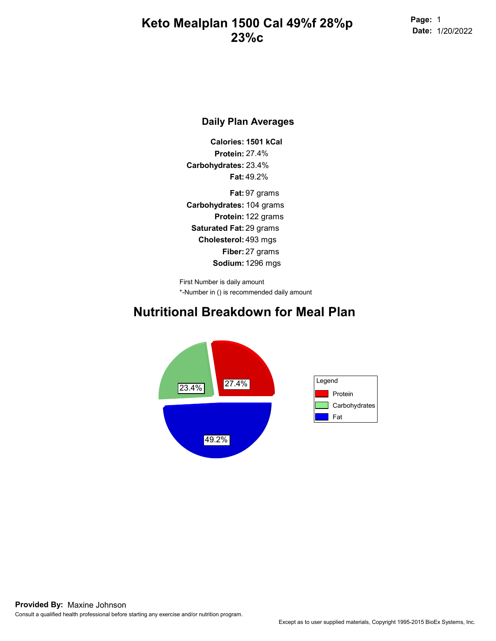Page: 1 Date: 1/20/2022

#### Daily Plan Averages

Calories: 1501 kCal Protein: 27.4% Carbohydrates: 23.4% Fat: 49.2%

Carbohydrates: 104 grams Protein: 122 grams Saturated Fat: 29 grams Cholesterol: 493 mgs Fiber: 27 grams Sodium: 1296 mgs Fat: 97 grams

\*-Number in () is recommended daily amount First Number is daily amount

#### Nutritional Breakdown for Meal Plan

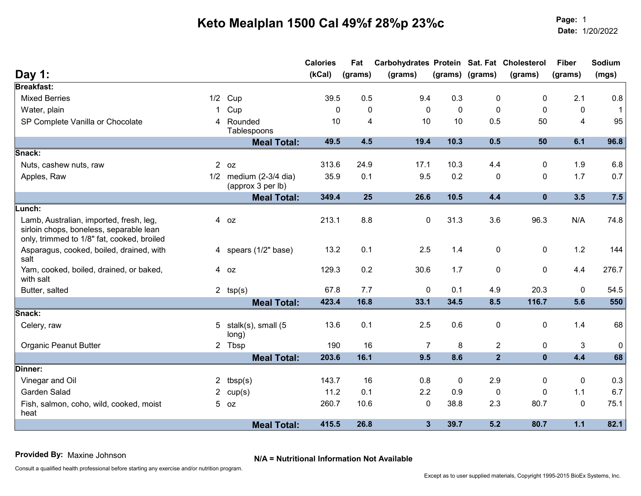Page: Date:Page: 1<br>Date: 1/20/2022

|                                                                                                                                  |                                               | <b>Calories</b> | Fat            | Carbohydrates Protein Sat. Fat Cholesterol |           |                 |              | <b>Fiber</b> | Sodium       |
|----------------------------------------------------------------------------------------------------------------------------------|-----------------------------------------------|-----------------|----------------|--------------------------------------------|-----------|-----------------|--------------|--------------|--------------|
| Day 1:                                                                                                                           |                                               | (kCal)          | (grams)        | (grams)                                    |           | (grams) (grams) | (grams)      | (grams)      | (mgs)        |
| <b>Breakfast:</b>                                                                                                                |                                               |                 |                |                                            |           |                 |              |              |              |
| <b>Mixed Berries</b>                                                                                                             | $1/2$ Cup                                     | 39.5            | 0.5            | 9.4                                        | 0.3       | 0               | 0            | 2.1          | 0.8          |
| Water, plain<br>1.                                                                                                               | Cup                                           | 0               | 0              | 0                                          | $\pmb{0}$ | $\mathbf 0$     | 0            | 0            | $\mathbf{1}$ |
| SP Complete Vanilla or Chocolate                                                                                                 | 4 Rounded<br>Tablespoons                      | 10              | $\overline{4}$ | 10                                         | 10        | 0.5             | 50           | 4            | 95           |
|                                                                                                                                  | <b>Meal Total:</b>                            | 49.5            | 4.5            | 19.4                                       | 10.3      | 0.5             | 50           | 6.1          | 96.8         |
| Snack:                                                                                                                           |                                               |                 |                |                                            |           |                 |              |              |              |
| Nuts, cashew nuts, raw                                                                                                           | $2$ oz                                        | 313.6           | 24.9           | 17.1                                       | 10.3      | 4.4             | 0            | 1.9          | 6.8          |
| Apples, Raw                                                                                                                      | $1/2$ medium (2-3/4 dia)<br>(approx 3 per lb) | 35.9            | 0.1            | 9.5                                        | 0.2       | $\pmb{0}$       | 0            | 1.7          | 0.7          |
|                                                                                                                                  | <b>Meal Total:</b>                            | 349.4           | 25             | 26.6                                       | 10.5      | 4.4             | $\mathbf{0}$ | 3.5          | 7.5          |
| Lunch:                                                                                                                           |                                               |                 |                |                                            |           |                 |              |              |              |
| Lamb, Australian, imported, fresh, leg,<br>sirloin chops, boneless, separable lean<br>only, trimmed to 1/8" fat, cooked, broiled | 4 oz                                          | 213.1           | 8.8            | 0                                          | 31.3      | 3.6             | 96.3         | N/A          | 74.8         |
| Asparagus, cooked, boiled, drained, with<br>salt                                                                                 | 4 spears (1/2" base)                          | 13.2            | 0.1            | 2.5                                        | 1.4       | $\pmb{0}$       | 0            | 1.2          | 144          |
| Yam, cooked, boiled, drained, or baked,<br>with salt                                                                             | 4 oz                                          | 129.3           | 0.2            | 30.6                                       | 1.7       | $\pmb{0}$       | 0            | 4.4          | 276.7        |
| Butter, salted                                                                                                                   | 2 $tsp(s)$                                    | 67.8            | 7.7            | $\pmb{0}$                                  | 0.1       | 4.9             | 20.3         | 0            | 54.5         |
|                                                                                                                                  | <b>Meal Total:</b>                            | 423.4           | 16.8           | 33.1                                       | 34.5      | 8.5             | 116.7        | 5.6          | 550          |
| Snack:                                                                                                                           |                                               |                 |                |                                            |           |                 |              |              |              |
| Celery, raw                                                                                                                      | 5 stalk(s), small (5<br>long)                 | 13.6            | 0.1            | 2.5                                        | 0.6       | $\pmb{0}$       | 0            | 1.4          | 68           |
| <b>Organic Peanut Butter</b>                                                                                                     | 2 Tbsp                                        | 190             | 16             | $\overline{7}$                             | 8         | $\overline{2}$  | 0            | 3            | $\mathbf 0$  |
|                                                                                                                                  | <b>Meal Total:</b>                            | 203.6           | $16.1$         | 9.5                                        | 8.6       | $\overline{2}$  | $\mathbf{0}$ | 4.4          | 68           |
| Dinner:                                                                                                                          |                                               |                 |                |                                            |           |                 |              |              |              |
| Vinegar and Oil                                                                                                                  | 2 $tbsp(s)$                                   | 143.7           | 16             | 0.8                                        | 0         | 2.9             | $\mathbf{0}$ | 0            | 0.3          |
| Garden Salad                                                                                                                     | 2 $cup(s)$                                    | 11.2            | 0.1            | 2.2                                        | 0.9       | 0               | 0            | 1.1          | 6.7          |
| Fish, salmon, coho, wild, cooked, moist<br>heat                                                                                  | $5$ oz                                        | 260.7           | 10.6           | $\mathbf 0$                                | 38.8      | 2.3             | 80.7         | $\mathbf 0$  | 75.1         |
|                                                                                                                                  | <b>Meal Total:</b>                            | 415.5           | 26.8           | $\mathbf{3}$                               | 39.7      | 5.2             | 80.7         | $1.1$        | 82.1         |

N/A = Nutritional Information Not Available Provided By: Maxine Johnson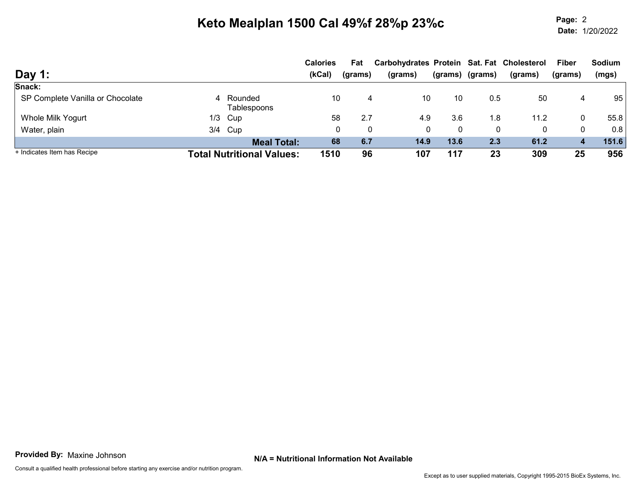Page: Date:Page: 2 1/20/2022

| Day 1:                           |                                  | <b>Calories</b><br>(kCal) | Fat<br>(grams) | Carbohydrates Protein Sat. Fat Cholesterol<br>(grams) | (grams) | (grams) | (grams) | <b>Fiber</b><br>(grams) | <b>Sodium</b><br>(mgs) |
|----------------------------------|----------------------------------|---------------------------|----------------|-------------------------------------------------------|---------|---------|---------|-------------------------|------------------------|
| Snack:                           |                                  |                           |                |                                                       |         |         |         |                         |                        |
| SP Complete Vanilla or Chocolate | 4 Rounded<br>Tablespoons         | 10                        | 4              | 10                                                    | 10      | 0.5     | 50      | 4                       | 95                     |
| Whole Milk Yogurt                | $1/3$ Cup                        | 58                        | 2.7            | 4.9                                                   | 3.6     | 1.8     | 11.2    | 0                       | 55.8                   |
| Water, plain                     | 3/4 Cup                          |                           | 0<br>0         | 0                                                     | 0       |         | 0       | 0                       | 0.8                    |
|                                  | <b>Meal Total:</b>               | 68                        | 6.7            | 14.9                                                  | 13.6    | 2.3     | 61.2    | 4                       | 151.6                  |
| + Indicates Item has Recipe      | <b>Total Nutritional Values:</b> | 1510                      | 96             | 107                                                   | 117     | 23      | 309     | 25                      | 956                    |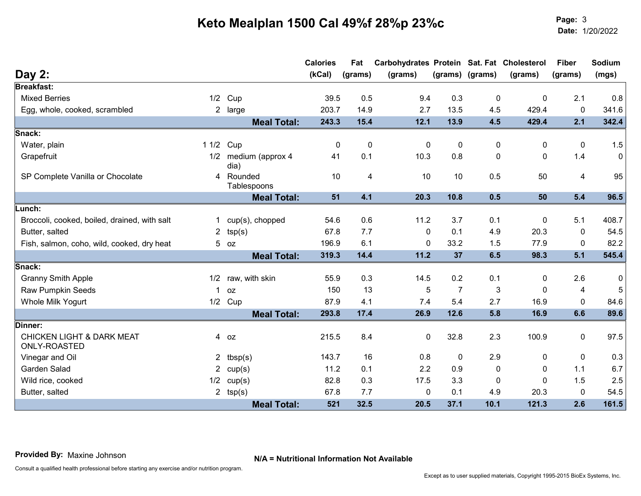Page: Date:Page: 3<br>Date: 1/20/2022

|                                                      |                      |                              | <b>Calories</b> | Fat         | Carbohydrates Protein Sat. Fat Cholesterol |                |                 |              | <b>Fiber</b> | Sodium      |
|------------------------------------------------------|----------------------|------------------------------|-----------------|-------------|--------------------------------------------|----------------|-----------------|--------------|--------------|-------------|
| Day $2:$                                             |                      |                              | (kCal)          | (grams)     | (grams)                                    |                | (grams) (grams) | (grams)      | (grams)      | (mgs)       |
| <b>Breakfast:</b><br><b>Mixed Berries</b>            |                      |                              |                 |             | 9.4                                        |                |                 |              |              |             |
|                                                      | 1/2                  | Cup                          | 39.5            | 0.5         |                                            | 0.3            | 0               | $\mathbf{0}$ | 2.1          | 0.8         |
| Egg, whole, cooked, scrambled                        |                      | 2 large                      | 203.7           | 14.9        | 2.7                                        | 13.5           | 4.5             | 429.4        | 0            | 341.6       |
|                                                      |                      | <b>Meal Total:</b>           | 243.3           | 15.4        | 12.1                                       | 13.9           | 4.5             | 429.4        | 2.1          | 342.4       |
| Snack:                                               |                      |                              |                 |             |                                            |                |                 |              |              |             |
| Water, plain                                         | 11/2                 | Cup                          | 0               | $\mathbf 0$ | $\mathbf 0$                                | $\pmb{0}$      | 0               | 0            | 0            | 1.5         |
| Grapefruit                                           |                      | 1/2 medium (approx 4<br>dia) | 41              | 0.1         | 10.3                                       | 0.8            | 0               | $\mathbf{0}$ | 1.4          | 0           |
| SP Complete Vanilla or Chocolate                     |                      | 4 Rounded<br>Tablespoons     | 10              | 4           | 10                                         | 10             | 0.5             | 50           | 4            | 95          |
|                                                      |                      | <b>Meal Total:</b>           | 51              | 4.1         | 20.3                                       | 10.8           | 0.5             | 50           | 5.4          | 96.5        |
| <b>Lunch:</b>                                        |                      |                              |                 |             |                                            |                |                 |              |              |             |
| Broccoli, cooked, boiled, drained, with salt         | 1.                   | cup(s), chopped              | 54.6            | 0.6         | 11.2                                       | 3.7            | 0.1             | $\mathbf{0}$ | 5.1          | 408.7       |
| Butter, salted                                       | $\mathbf{2}^{\circ}$ | tsp(s)                       | 67.8            | 7.7         | 0                                          | 0.1            | 4.9             | 20.3         | $\mathbf{0}$ | 54.5        |
| Fish, salmon, coho, wild, cooked, dry heat           |                      | $5$ $oz$                     | 196.9           | 6.1         | 0                                          | 33.2           | 1.5             | 77.9         | $\mathbf{0}$ | 82.2        |
|                                                      |                      | <b>Meal Total:</b>           | 319.3           | 14.4        | 11.2                                       | 37             | 6.5             | 98.3         | 5.1          | 545.4       |
| Snack:                                               |                      |                              |                 |             |                                            |                |                 |              |              |             |
| <b>Granny Smith Apple</b>                            | 1/2                  | raw, with skin               | 55.9            | 0.3         | 14.5                                       | 0.2            | 0.1             | $\mathbf 0$  | 2.6          | $\mathbf 0$ |
| <b>Raw Pumpkin Seeds</b>                             |                      | 0Z                           | 150             | 13          | 5                                          | $\overline{7}$ | 3               | $\mathbf{0}$ | 4            | 5           |
| Whole Milk Yogurt                                    | 1/2                  | Cup                          | 87.9            | 4.1         | 7.4                                        | 5.4            | 2.7             | 16.9         | $\mathbf{0}$ | 84.6        |
|                                                      |                      | <b>Meal Total:</b>           | 293.8           | 17.4        | 26.9                                       | 12.6           | 5.8             | 16.9         | 6.6          | 89.6        |
| Dinner:                                              |                      |                              |                 |             |                                            |                |                 |              |              |             |
| <b>CHICKEN LIGHT &amp; DARK MEAT</b><br>ONLY-ROASTED |                      | 4 oz                         | 215.5           | 8.4         | $\mathbf 0$                                | 32.8           | 2.3             | 100.9        | $\mathbf 0$  | 97.5        |
| Vinegar and Oil                                      |                      | 2 $tbsp(s)$                  | 143.7           | 16          | 0.8                                        | 0              | 2.9             | $\mathbf{0}$ | 0            | 0.3         |
| Garden Salad                                         | $\mathbf{2}$         | cup(s)                       | 11.2            | 0.1         | 2.2                                        | 0.9            | 0               | 0            | 1.1          | 6.7         |
| Wild rice, cooked                                    | 1/2                  | cup(s)                       | 82.8            | 0.3         | 17.5                                       | 3.3            | 0               | $\mathbf{0}$ | 1.5          | 2.5         |
| Butter, salted                                       |                      | 2 $tsp(s)$                   | 67.8            | 7.7         | 0                                          | 0.1            | 4.9             | 20.3         | $\mathbf{0}$ | 54.5        |
|                                                      |                      | <b>Meal Total:</b>           | 521             | 32.5        | 20.5                                       | 37.1           | 10.1            | 121.3        | 2.6          | 161.5       |

N/A = Nutritional Information Not Available Provided By: Maxine Johnson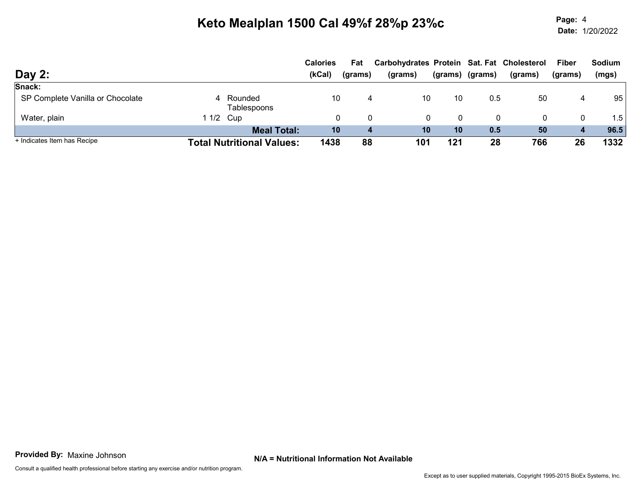Page: Date:Page: 4 1/20/2022

|                                  |           |                                  | <b>Calories</b> | Fat     | Carbohydrates Protein Sat. Fat Cholesterol |         |         |         | <b>Fiber</b>     | <b>Sodium</b> |
|----------------------------------|-----------|----------------------------------|-----------------|---------|--------------------------------------------|---------|---------|---------|------------------|---------------|
| Day $2:$                         |           |                                  | (kCal)          | (grams) | (grams)                                    | (grams) | (grams) | (grams) | (grams)          | (mgs)         |
| Snack:                           |           |                                  |                 |         |                                            |         |         |         |                  |               |
| SP Complete Vanilla or Chocolate |           | 4 Rounded<br>Tablespoons         | 10              |         | 10                                         | 10      | 0.5     | 50      | 4                | 95            |
| Water, plain                     | 1 1/2 Cup |                                  |                 |         |                                            | 0<br>0  | 0       |         | 0                | 1.5           |
|                                  |           | <b>Meal Total:</b>               | 10              | 4       | 10                                         | 10      | 0.5     | 50      | $\boldsymbol{4}$ | 96.5          |
| + Indicates Item has Recipe      |           | <b>Total Nutritional Values:</b> | 1438            | 88      | 101                                        | 121     | 28      | 766     | 26               | 1332          |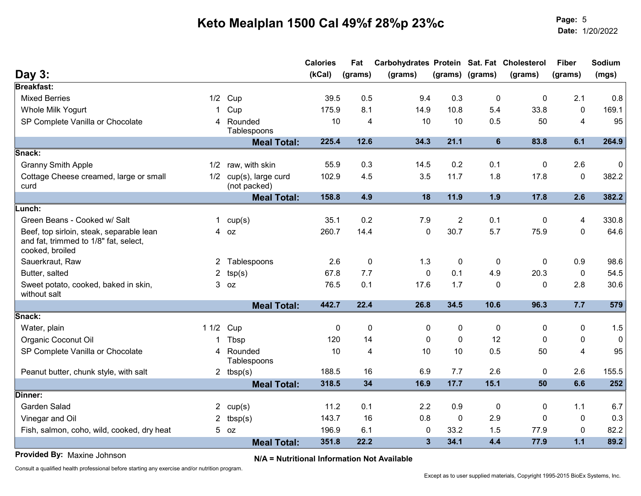Page: Date:Page: 5<br>Date: 1/20/2022

|                                                                                                                                                                                                                                 |                |                                    | <b>Calories</b> | Fat            | Carbohydrates Protein Sat. Fat Cholesterol |                |                 |              | <b>Fiber</b>   | Sodium    |
|---------------------------------------------------------------------------------------------------------------------------------------------------------------------------------------------------------------------------------|----------------|------------------------------------|-----------------|----------------|--------------------------------------------|----------------|-----------------|--------------|----------------|-----------|
| Day 3:                                                                                                                                                                                                                          |                |                                    | (KCal)          | (grams)        | (grams)                                    |                | (grams) (grams) | (grams)      | (grams)        | (mgs)     |
| <b>Breakfast:</b>                                                                                                                                                                                                               |                |                                    |                 |                |                                            |                |                 |              |                |           |
| <b>Mixed Berries</b>                                                                                                                                                                                                            |                | $1/2$ Cup                          | 39.5            | 0.5            | 9.4                                        | 0.3            | $\mathbf 0$     | $\mathbf 0$  | 2.1            | 0.8       |
| Whole Milk Yogurt                                                                                                                                                                                                               | 1.             | Cup                                | 175.9           | 8.1            | 14.9                                       | 10.8           | 5.4             | 33.8         | $\mathbf{0}$   | 169.1     |
| SP Complete Vanilla or Chocolate                                                                                                                                                                                                | 4              | Rounded<br>Tablespoons             | 10              | 4              | 10                                         | 10             | 0.5             | 50           | 4              | 95        |
|                                                                                                                                                                                                                                 |                | <b>Meal Total:</b>                 | 225.4           | 12.6           | 34.3                                       | 21.1           | $6\phantom{1}$  | 83.8         | 6.1            | 264.9     |
| Snack:                                                                                                                                                                                                                          |                |                                    |                 |                |                                            |                |                 |              |                |           |
| <b>Granny Smith Apple</b>                                                                                                                                                                                                       |                | 1/2 raw, with skin                 | 55.9            | 0.3            | 14.5                                       | 0.2            | 0.1             | $\Omega$     | 2.6            | 0         |
| Cottage Cheese creamed, large or small<br>curd                                                                                                                                                                                  | 1/2            | cup(s), large curd<br>(not packed) | 102.9           | 4.5            | 3.5                                        | 11.7           | 1.8             | 17.8         | $\mathbf 0$    | 382.2     |
|                                                                                                                                                                                                                                 |                | <b>Meal Total:</b>                 | 158.8           | 4.9            | 18                                         | 11.9           | 1.9             | 17.8         | 2.6            | 382.2     |
| Lunch:                                                                                                                                                                                                                          |                |                                    |                 |                |                                            |                |                 |              |                |           |
| Green Beans - Cooked w/ Salt                                                                                                                                                                                                    |                | 1 $cup(s)$                         | 35.1            | 0.2            | 7.9                                        | $\overline{2}$ | 0.1             | $\mathbf 0$  | 4              | 330.8     |
| Beef, top sirloin, steak, separable lean<br>and fat, trimmed to 1/8" fat, select,<br>cooked, broiled                                                                                                                            |                | 4 oz                               | 260.7           | 14.4           | $\mathbf 0$                                | 30.7           | 5.7             | 75.9         | $\mathbf 0$    | 64.6      |
| Sauerkraut, Raw                                                                                                                                                                                                                 |                | 2 Tablespoons                      | 2.6             | 0              | 1.3                                        | $\mathbf 0$    | 0               | $\mathbf{0}$ | 0.9            | 98.6      |
| Butter, salted                                                                                                                                                                                                                  | $\overline{2}$ | tsp(s)                             | 67.8            | 7.7            | $\mathbf 0$                                | 0.1            | 4.9             | 20.3         | $\pmb{0}$      | 54.5      |
| Sweet potato, cooked, baked in skin,<br>without salt                                                                                                                                                                            |                | $3$ oz                             | 76.5            | 0.1            | 17.6                                       | 1.7            | $\mathbf 0$     | $\mathbf{0}$ | 2.8            | 30.6      |
|                                                                                                                                                                                                                                 |                | <b>Meal Total:</b>                 | 442.7           | 22.4           | 26.8                                       | 34.5           | 10.6            | 96.3         | 7.7            | 579       |
| Snack:                                                                                                                                                                                                                          |                |                                    |                 |                |                                            |                |                 |              |                |           |
| Water, plain                                                                                                                                                                                                                    | 1 1/2 Cup      |                                    | $\Omega$        | $\mathbf 0$    | $\Omega$                                   | 0              | 0               | $\Omega$     | 0              | 1.5       |
| Organic Coconut Oil                                                                                                                                                                                                             |                | Tbsp                               | 120             | 14             | $\Omega$                                   | 0              | 12              | $\Omega$     | 0              | $\pmb{0}$ |
| SP Complete Vanilla or Chocolate                                                                                                                                                                                                | 4              | Rounded<br>Tablespoons             | 10              | $\overline{4}$ | 10                                         | 10             | 0.5             | 50           | $\overline{4}$ | 95        |
| Peanut butter, chunk style, with salt                                                                                                                                                                                           |                | 2 $tbsp(s)$                        | 188.5           | 16             | 6.9                                        | 7.7            | 2.6             | 0            | 2.6            | 155.5     |
|                                                                                                                                                                                                                                 |                | <b>Meal Total:</b>                 | 318.5           | 34             | 16.9                                       | 17.7           | 15.1            | 50           | 6.6            | 252       |
| Dinner:                                                                                                                                                                                                                         |                |                                    |                 |                |                                            |                |                 |              |                |           |
| Garden Salad                                                                                                                                                                                                                    |                | 2 $cup(s)$                         | 11.2            | 0.1            | 2.2                                        | 0.9            | $\mathbf 0$     | $\mathbf 0$  | 1.1            | 6.7       |
| Vinegar and Oil                                                                                                                                                                                                                 | $\mathbf{2}$   | tbsp(s)                            | 143.7           | 16             | 0.8                                        | $\mathbf 0$    | 2.9             | $\mathbf{0}$ | $\mathbf{0}$   | 0.3       |
| Fish, salmon, coho, wild, cooked, dry heat                                                                                                                                                                                      |                | $5$ $oz$                           | 196.9           | 6.1            | $\mathbf 0$                                | 33.2           | 1.5             | 77.9         | $\mathbf{0}$   | 82.2      |
|                                                                                                                                                                                                                                 |                | <b>Meal Total:</b>                 | 351.8           | 22.2           | $\overline{3}$                             | 34.1           | 4.4             | 77.9         | $1.1$          | 89.2      |
| $\sim$ . The state of the state of the state of the state of the state of the state of the state of the state of the state of the state of the state of the state of the state of the state of the state of the state of the st |                |                                    |                 |                |                                            |                |                 |              |                |           |

N/A = Nutritional Information Not Available Provided By: Maxine Johnson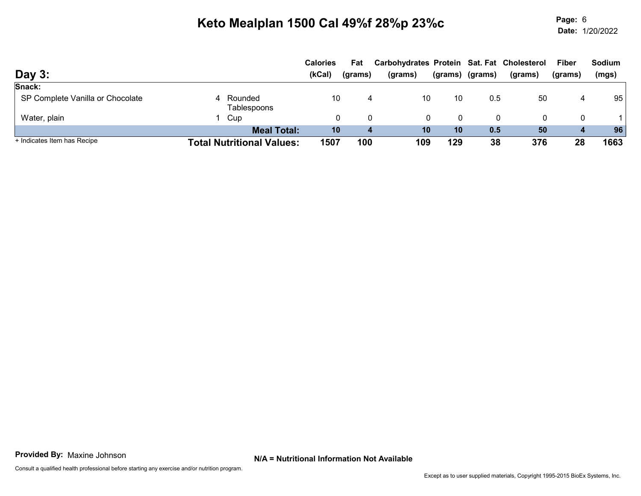Page: Date:Page: 6 1/20/2022

| Day 3:                           |                                  | <b>Calories</b><br>(kCal) | Fat<br>(grams) | Carbohydrates Protein Sat. Fat Cholesterol<br>(grams) | (grams) | (grams) | (grams) | <b>Fiber</b><br>(grams) | <b>Sodium</b><br>(mgs) |
|----------------------------------|----------------------------------|---------------------------|----------------|-------------------------------------------------------|---------|---------|---------|-------------------------|------------------------|
| Snack:                           |                                  |                           |                |                                                       |         |         |         |                         |                        |
| SP Complete Vanilla or Chocolate | 4 Rounded<br>Tablespoons         | 10                        | 4              | 10                                                    | 10      | 0.5     | 50      | 4                       | 95                     |
| Water, plain                     | Cup                              | 0                         |                | 0                                                     |         |         | 0       | 0                       |                        |
|                                  | <b>Meal Total:</b>               | 10                        | 4              | 10                                                    | 10      | 0.5     | 50      | 4                       | 96                     |
| + Indicates Item has Recipe      | <b>Total Nutritional Values:</b> | 1507                      | 100            | 109                                                   | 129     | 38      | 376     | 28                      | 1663                   |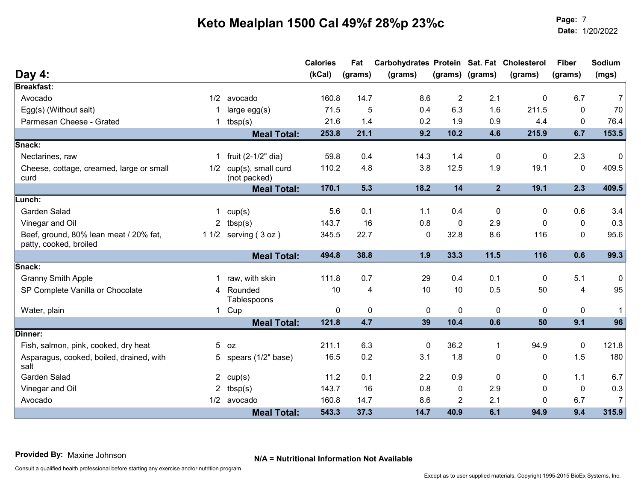Page: Date:Page: 7<br>Date: 1/20/2022

|                                                                  |     |                          | <b>Calories</b> | Fat      | Carbohydrates Protein Sat. Fat Cholesterol |                |                 |              | <b>Fiber</b> | Sodium         |
|------------------------------------------------------------------|-----|--------------------------|-----------------|----------|--------------------------------------------|----------------|-----------------|--------------|--------------|----------------|
| Day 4:                                                           |     |                          | (KCal)          | (grams)  | (grams)                                    |                | (grams) (grams) | (grams)      | (grams)      | (mgs)          |
| <b>Breakfast:</b>                                                |     |                          |                 |          |                                            |                |                 |              |              |                |
| Avocado                                                          | 1/2 | avocado                  | 160.8           | 14.7     | 8.6                                        | $\overline{2}$ | 2.1             | $\mathbf{0}$ | 6.7          | $\overline{7}$ |
| Egg(s) (Without salt)                                            |     | large egg(s)             | 71.5            | 5        | 0.4                                        | 6.3            | 1.6             | 211.5        | $\mathbf{0}$ | 70             |
| Parmesan Cheese - Grated                                         |     | tbsp(s)                  | 21.6            | 1.4      | 0.2                                        | 1.9            | 0.9             | 4.4          | $\mathbf{0}$ | 76.4           |
|                                                                  |     | <b>Meal Total:</b>       | 253.8           | 21.1     | 9.2                                        | 10.2           | 4.6             | 215.9        | 6.7          | 153.5          |
| Snack:                                                           |     |                          |                 |          |                                            |                |                 |              |              |                |
| Nectarines, raw                                                  | 1   | fruit $(2-1/2"$ dia)     | 59.8            | 0.4      | 14.3                                       | 1.4            | 0               | 0            | 2.3          | 0              |
| Cheese, cottage, creamed, large or small                         |     | 1/2 cup(s), small curd   | 110.2           | 4.8      | 3.8                                        | 12.5           | 1.9             | 19.1         | $\mathbf{0}$ | 409.5          |
| curd                                                             |     | (not packed)             |                 |          |                                            |                |                 |              |              |                |
|                                                                  |     | <b>Meal Total:</b>       | 170.1           | 5.3      | 18.2                                       | 14             | 2 <sup>1</sup>  | 19.1         | 2.3          | 409.5          |
| Lunch:                                                           |     |                          |                 |          |                                            |                |                 |              |              |                |
| Garden Salad                                                     |     | cup(s)                   | 5.6             | 0.1      | 1.1                                        | 0.4            | 0               | 0            | 0.6          | 3.4            |
| Vinegar and Oil                                                  | 2   | tbsp(s)                  | 143.7           | 16       | 0.8                                        | 0              | 2.9             | $\Omega$     | $\mathbf{0}$ | 0.3            |
| Beef, ground, 80% lean meat / 20% fat,<br>patty, cooked, broiled |     | 1 $1/2$ serving $(3 oz)$ | 345.5           | 22.7     | $\mathbf 0$                                | 32.8           | 8.6             | 116          | $\Omega$     | 95.6           |
|                                                                  |     | <b>Meal Total:</b>       | 494.8           | 38.8     | 1.9                                        | 33.3           | 11.5            | 116          | 0.6          | 99.3           |
| Snack:                                                           |     |                          |                 |          |                                            |                |                 |              |              |                |
| <b>Granny Smith Apple</b>                                        |     | raw, with skin           | 111.8           | 0.7      | 29                                         | 0.4            | 0.1             | $\Omega$     | 5.1          | 0              |
| SP Complete Vanilla or Chocolate                                 |     | 4 Rounded                | 10              | 4        | 10                                         | 10             | 0.5             | 50           | 4            | 95             |
|                                                                  |     | Tablespoons              |                 |          |                                            |                |                 |              |              |                |
| Water, plain                                                     |     | 1 Cup                    | 0               | $\Omega$ | 0                                          | 0              | 0               | $\mathbf{0}$ | 0            | 1              |
|                                                                  |     | <b>Meal Total:</b>       | 121.8           | 4.7      | 39                                         | 10.4           | 0.6             | 50           | 9.1          | 96             |
| Dinner:                                                          |     |                          |                 |          |                                            |                |                 |              |              |                |
| Fish, salmon, pink, cooked, dry heat                             |     | $5$ $oz$                 | 211.1           | 6.3      | $\mathbf 0$                                | 36.2           | 1               | 94.9         | 0            | 121.8          |
| Asparagus, cooked, boiled, drained, with<br>salt                 |     | 5 spears (1/2" base)     | 16.5            | 0.2      | 3.1                                        | 1.8            | 0               | 0            | 1.5          | 180            |
| Garden Salad                                                     |     | 2 $cup(s)$               | 11.2            | 0.1      | 2.2                                        | 0.9            | 0               | 0            | 1.1          | 6.7            |
| Vinegar and Oil                                                  |     | tbsp(s)                  | 143.7           | 16       | 0.8                                        | 0              | 2.9             | $\Omega$     | 0            | 0.3            |
| Avocado                                                          |     | 1/2 avocado              | 160.8           | 14.7     | 8.6                                        | $\overline{2}$ | 2.1             | $\Omega$     | 6.7          | $\overline{7}$ |
|                                                                  |     | <b>Meal Total:</b>       | 543.3           | 37.3     | 14.7                                       | 40.9           | 6.1             | 94.9         | 9.4          | 315.9          |

N/A = Nutritional Information Not Available Provided By: Maxine Johnson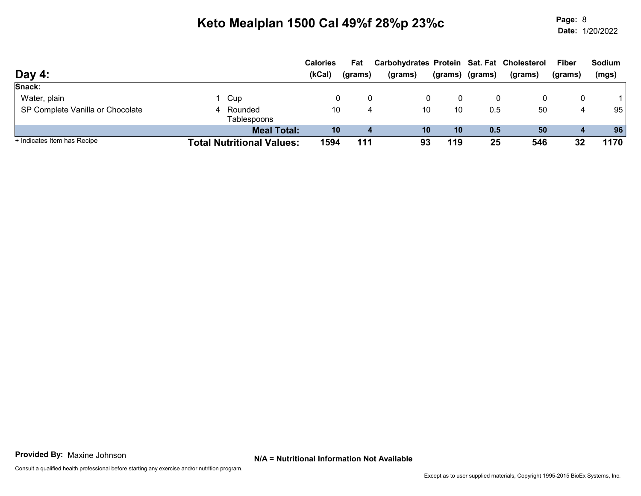Page: Date:Page: 8 1/20/2022

|                                  |                                  | <b>Calories</b> | Fat     | Carbohydrates Protein Sat. Fat Cholesterol |         |         |         | <b>Fiber</b> | <b>Sodium</b> |
|----------------------------------|----------------------------------|-----------------|---------|--------------------------------------------|---------|---------|---------|--------------|---------------|
| Day 4:                           |                                  | (kCal)          | (grams) | (grams)                                    | (grams) | (grams) | (grams) | (grams)      | (mgs)         |
| Snack:                           |                                  |                 |         |                                            |         |         |         |              |               |
| Water, plain                     | 1 Cup                            |                 |         |                                            | 0       |         |         | 0            |               |
| SP Complete Vanilla or Chocolate | 4 Rounded<br>Tablespoons         | 10              | 4       | 10                                         | 10      | 0.5     | 50      | 4            | 95            |
|                                  | <b>Meal Total:</b>               | 10              |         | 10                                         | 10      | 0.5     | 50      | 4            | 96            |
| + Indicates Item has Recipe      | <b>Total Nutritional Values:</b> | 1594            | 111     | 93                                         | 119     | 25      | 546     | 32           | 1170          |

N/A = Nutritional Information Not Available Provided By: Maxine Johnson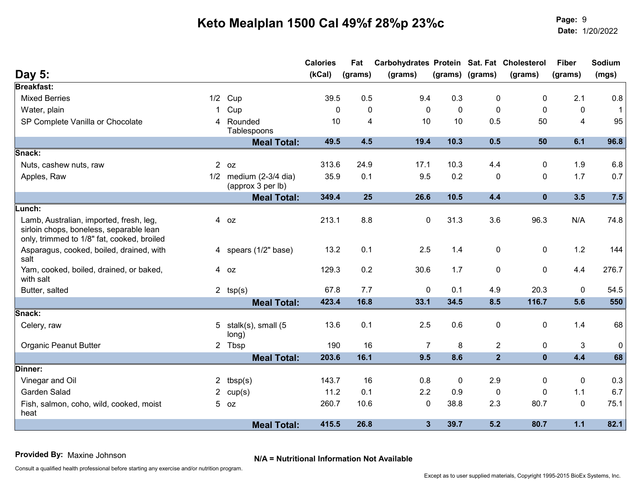Page: Date:Page: 9<br>Date: 1/20/2022

| (grams) (grams)<br><b>Breakfast:</b><br><b>Mixed Berries</b><br>0.5<br>9.4<br>0.3<br>2.1<br>$1/2$ Cup<br>39.5<br>0<br>$\Omega$<br>$\Omega$<br>$\Omega$<br>0<br>$\Omega$<br>$\mathbf{0}$<br>Water, plain<br>Cup<br>$\Omega$<br>$\Omega$<br>10<br>$\overline{4}$<br>SP Complete Vanilla or Chocolate<br>4 Rounded<br>10<br>4<br>10<br>0.5<br>50<br>Tablespoons<br>49.5<br>4.5<br>19.4<br>10.3<br>0.5<br>50<br>6.1<br><b>Meal Total:</b><br>Snack:<br>313.6<br>24.9<br>17.1<br>Nuts, cashew nuts, raw<br>$2$ oz<br>10.3<br>4.4<br>$\Omega$<br>1.9<br>$1/2$ medium (2-3/4 dia)<br>9.5<br>0.2<br>1.7<br>35.9<br>0.1<br>$\pmb{0}$<br>0<br>Apples, Raw<br>(approx 3 per lb)<br><b>Meal Total:</b><br>349.4<br>25<br>26.6<br>10.5<br>4.4<br>$\mathbf 0$<br>3.5<br>Lunch:<br>213.1<br>8.8<br>$\mathbf 0$<br>31.3<br>3.6<br>96.3<br>N/A<br>Lamb, Australian, imported, fresh, leg,<br>4 oz<br>sirloin chops, boneless, separable lean<br>only, trimmed to 1/8" fat, cooked, broiled<br>Asparagus, cooked, boiled, drained, with<br>2.5<br>1.2<br>4 spears (1/2" base)<br>13.2<br>0.1<br>1.4<br>0<br>$\mathbf{0}$<br>salt<br>0<br>0.2<br>30.6<br>1.7<br>4.4<br>129.3<br>$\mathbf{0}$<br>Yam, cooked, boiled, drained, or baked,<br>4 oz<br>with salt<br>67.8<br>7.7<br>0<br>0.1<br>4.9<br>20.3<br>$\mathbf{0}$<br>Butter, salted<br>2 $tsp(s)$<br>116.7<br>423.4<br>16.8<br>33.1<br>34.5<br>8.5<br>5.6<br><b>Meal Total:</b><br>Snack:<br>2.5<br>0.6<br>0<br>Celery, raw<br>5 stalk(s), small $(5$<br>13.6<br>0.1<br>0<br>1.4<br>long)<br><b>Organic Peanut Butter</b><br>190<br>16<br>8<br>$\overline{2}$<br>$\mathbf{3}$<br>2 Tbsp<br>$\overline{7}$<br>0<br>$\overline{2}$<br>16.1<br>9.5<br>8.6<br>4.4<br><b>Meal Total:</b><br>203.6<br>$\mathbf 0$<br>Dinner:<br>2.9<br>Vinegar and Oil<br>143.7<br>16<br>0.8<br>0<br>2 $tbsp(s)$<br>$\mathbf{0}$<br>0<br>2.2<br>Garden Salad<br>11.2<br>0.1<br>0.9<br>$\mathbf 0$<br>1.1<br>2 $cup(s)$<br>$\Omega$<br>$5$ $oz$<br>260.7<br>10.6<br>38.8<br>2.3<br>80.7<br>$\mathbf 0$<br>Fish, salmon, coho, wild, cooked, moist<br>0<br>heat<br>26.8<br>$\overline{\mathbf{3}}$<br>39.7<br>$1.1$<br>415.5<br>5.2<br>80.7 |               |                    | <b>Calories</b> | Fat     | Carbohydrates Protein Sat. Fat Cholesterol |  |         | <b>Fiber</b> | Sodium       |
|-------------------------------------------------------------------------------------------------------------------------------------------------------------------------------------------------------------------------------------------------------------------------------------------------------------------------------------------------------------------------------------------------------------------------------------------------------------------------------------------------------------------------------------------------------------------------------------------------------------------------------------------------------------------------------------------------------------------------------------------------------------------------------------------------------------------------------------------------------------------------------------------------------------------------------------------------------------------------------------------------------------------------------------------------------------------------------------------------------------------------------------------------------------------------------------------------------------------------------------------------------------------------------------------------------------------------------------------------------------------------------------------------------------------------------------------------------------------------------------------------------------------------------------------------------------------------------------------------------------------------------------------------------------------------------------------------------------------------------------------------------------------------------------------------------------------------------------------------------------------------------------------------------------------------------------------------------------------------------------------------------------------------------------------------------------------------------------------------------------------------------------------------------|---------------|--------------------|-----------------|---------|--------------------------------------------|--|---------|--------------|--------------|
|                                                                                                                                                                                                                                                                                                                                                                                                                                                                                                                                                                                                                                                                                                                                                                                                                                                                                                                                                                                                                                                                                                                                                                                                                                                                                                                                                                                                                                                                                                                                                                                                                                                                                                                                                                                                                                                                                                                                                                                                                                                                                                                                                       | <b>Day 5:</b> |                    | (KCal)          | (grams) | (grams)                                    |  | (grams) | (grams)      | (mgs)        |
|                                                                                                                                                                                                                                                                                                                                                                                                                                                                                                                                                                                                                                                                                                                                                                                                                                                                                                                                                                                                                                                                                                                                                                                                                                                                                                                                                                                                                                                                                                                                                                                                                                                                                                                                                                                                                                                                                                                                                                                                                                                                                                                                                       |               |                    |                 |         |                                            |  |         |              |              |
|                                                                                                                                                                                                                                                                                                                                                                                                                                                                                                                                                                                                                                                                                                                                                                                                                                                                                                                                                                                                                                                                                                                                                                                                                                                                                                                                                                                                                                                                                                                                                                                                                                                                                                                                                                                                                                                                                                                                                                                                                                                                                                                                                       |               |                    |                 |         |                                            |  |         |              | 0.8          |
|                                                                                                                                                                                                                                                                                                                                                                                                                                                                                                                                                                                                                                                                                                                                                                                                                                                                                                                                                                                                                                                                                                                                                                                                                                                                                                                                                                                                                                                                                                                                                                                                                                                                                                                                                                                                                                                                                                                                                                                                                                                                                                                                                       |               |                    |                 |         |                                            |  |         |              | $\mathbf{1}$ |
|                                                                                                                                                                                                                                                                                                                                                                                                                                                                                                                                                                                                                                                                                                                                                                                                                                                                                                                                                                                                                                                                                                                                                                                                                                                                                                                                                                                                                                                                                                                                                                                                                                                                                                                                                                                                                                                                                                                                                                                                                                                                                                                                                       |               |                    |                 |         |                                            |  |         |              | 95           |
|                                                                                                                                                                                                                                                                                                                                                                                                                                                                                                                                                                                                                                                                                                                                                                                                                                                                                                                                                                                                                                                                                                                                                                                                                                                                                                                                                                                                                                                                                                                                                                                                                                                                                                                                                                                                                                                                                                                                                                                                                                                                                                                                                       |               |                    |                 |         |                                            |  |         |              | 96.8         |
|                                                                                                                                                                                                                                                                                                                                                                                                                                                                                                                                                                                                                                                                                                                                                                                                                                                                                                                                                                                                                                                                                                                                                                                                                                                                                                                                                                                                                                                                                                                                                                                                                                                                                                                                                                                                                                                                                                                                                                                                                                                                                                                                                       |               |                    |                 |         |                                            |  |         |              |              |
|                                                                                                                                                                                                                                                                                                                                                                                                                                                                                                                                                                                                                                                                                                                                                                                                                                                                                                                                                                                                                                                                                                                                                                                                                                                                                                                                                                                                                                                                                                                                                                                                                                                                                                                                                                                                                                                                                                                                                                                                                                                                                                                                                       |               |                    |                 |         |                                            |  |         |              | 6.8          |
|                                                                                                                                                                                                                                                                                                                                                                                                                                                                                                                                                                                                                                                                                                                                                                                                                                                                                                                                                                                                                                                                                                                                                                                                                                                                                                                                                                                                                                                                                                                                                                                                                                                                                                                                                                                                                                                                                                                                                                                                                                                                                                                                                       |               |                    |                 |         |                                            |  |         |              | 0.7          |
|                                                                                                                                                                                                                                                                                                                                                                                                                                                                                                                                                                                                                                                                                                                                                                                                                                                                                                                                                                                                                                                                                                                                                                                                                                                                                                                                                                                                                                                                                                                                                                                                                                                                                                                                                                                                                                                                                                                                                                                                                                                                                                                                                       |               |                    |                 |         |                                            |  |         |              | 7.5          |
|                                                                                                                                                                                                                                                                                                                                                                                                                                                                                                                                                                                                                                                                                                                                                                                                                                                                                                                                                                                                                                                                                                                                                                                                                                                                                                                                                                                                                                                                                                                                                                                                                                                                                                                                                                                                                                                                                                                                                                                                                                                                                                                                                       |               |                    |                 |         |                                            |  |         |              |              |
|                                                                                                                                                                                                                                                                                                                                                                                                                                                                                                                                                                                                                                                                                                                                                                                                                                                                                                                                                                                                                                                                                                                                                                                                                                                                                                                                                                                                                                                                                                                                                                                                                                                                                                                                                                                                                                                                                                                                                                                                                                                                                                                                                       |               |                    |                 |         |                                            |  |         |              | 74.8         |
|                                                                                                                                                                                                                                                                                                                                                                                                                                                                                                                                                                                                                                                                                                                                                                                                                                                                                                                                                                                                                                                                                                                                                                                                                                                                                                                                                                                                                                                                                                                                                                                                                                                                                                                                                                                                                                                                                                                                                                                                                                                                                                                                                       |               |                    |                 |         |                                            |  |         |              | 144          |
|                                                                                                                                                                                                                                                                                                                                                                                                                                                                                                                                                                                                                                                                                                                                                                                                                                                                                                                                                                                                                                                                                                                                                                                                                                                                                                                                                                                                                                                                                                                                                                                                                                                                                                                                                                                                                                                                                                                                                                                                                                                                                                                                                       |               |                    |                 |         |                                            |  |         |              | 276.7        |
|                                                                                                                                                                                                                                                                                                                                                                                                                                                                                                                                                                                                                                                                                                                                                                                                                                                                                                                                                                                                                                                                                                                                                                                                                                                                                                                                                                                                                                                                                                                                                                                                                                                                                                                                                                                                                                                                                                                                                                                                                                                                                                                                                       |               |                    |                 |         |                                            |  |         |              | 54.5         |
|                                                                                                                                                                                                                                                                                                                                                                                                                                                                                                                                                                                                                                                                                                                                                                                                                                                                                                                                                                                                                                                                                                                                                                                                                                                                                                                                                                                                                                                                                                                                                                                                                                                                                                                                                                                                                                                                                                                                                                                                                                                                                                                                                       |               |                    |                 |         |                                            |  |         |              | 550          |
|                                                                                                                                                                                                                                                                                                                                                                                                                                                                                                                                                                                                                                                                                                                                                                                                                                                                                                                                                                                                                                                                                                                                                                                                                                                                                                                                                                                                                                                                                                                                                                                                                                                                                                                                                                                                                                                                                                                                                                                                                                                                                                                                                       |               |                    |                 |         |                                            |  |         |              |              |
|                                                                                                                                                                                                                                                                                                                                                                                                                                                                                                                                                                                                                                                                                                                                                                                                                                                                                                                                                                                                                                                                                                                                                                                                                                                                                                                                                                                                                                                                                                                                                                                                                                                                                                                                                                                                                                                                                                                                                                                                                                                                                                                                                       |               |                    |                 |         |                                            |  |         |              | 68           |
|                                                                                                                                                                                                                                                                                                                                                                                                                                                                                                                                                                                                                                                                                                                                                                                                                                                                                                                                                                                                                                                                                                                                                                                                                                                                                                                                                                                                                                                                                                                                                                                                                                                                                                                                                                                                                                                                                                                                                                                                                                                                                                                                                       |               |                    |                 |         |                                            |  |         |              | 0            |
|                                                                                                                                                                                                                                                                                                                                                                                                                                                                                                                                                                                                                                                                                                                                                                                                                                                                                                                                                                                                                                                                                                                                                                                                                                                                                                                                                                                                                                                                                                                                                                                                                                                                                                                                                                                                                                                                                                                                                                                                                                                                                                                                                       |               |                    |                 |         |                                            |  |         |              | 68           |
|                                                                                                                                                                                                                                                                                                                                                                                                                                                                                                                                                                                                                                                                                                                                                                                                                                                                                                                                                                                                                                                                                                                                                                                                                                                                                                                                                                                                                                                                                                                                                                                                                                                                                                                                                                                                                                                                                                                                                                                                                                                                                                                                                       |               |                    |                 |         |                                            |  |         |              |              |
|                                                                                                                                                                                                                                                                                                                                                                                                                                                                                                                                                                                                                                                                                                                                                                                                                                                                                                                                                                                                                                                                                                                                                                                                                                                                                                                                                                                                                                                                                                                                                                                                                                                                                                                                                                                                                                                                                                                                                                                                                                                                                                                                                       |               |                    |                 |         |                                            |  |         |              | 0.3          |
|                                                                                                                                                                                                                                                                                                                                                                                                                                                                                                                                                                                                                                                                                                                                                                                                                                                                                                                                                                                                                                                                                                                                                                                                                                                                                                                                                                                                                                                                                                                                                                                                                                                                                                                                                                                                                                                                                                                                                                                                                                                                                                                                                       |               |                    |                 |         |                                            |  |         |              | 6.7          |
|                                                                                                                                                                                                                                                                                                                                                                                                                                                                                                                                                                                                                                                                                                                                                                                                                                                                                                                                                                                                                                                                                                                                                                                                                                                                                                                                                                                                                                                                                                                                                                                                                                                                                                                                                                                                                                                                                                                                                                                                                                                                                                                                                       |               |                    |                 |         |                                            |  |         |              | 75.1         |
|                                                                                                                                                                                                                                                                                                                                                                                                                                                                                                                                                                                                                                                                                                                                                                                                                                                                                                                                                                                                                                                                                                                                                                                                                                                                                                                                                                                                                                                                                                                                                                                                                                                                                                                                                                                                                                                                                                                                                                                                                                                                                                                                                       |               | <b>Meal Total:</b> |                 |         |                                            |  |         |              | 82.1         |

N/A = Nutritional Information Not Available Provided By: Maxine Johnson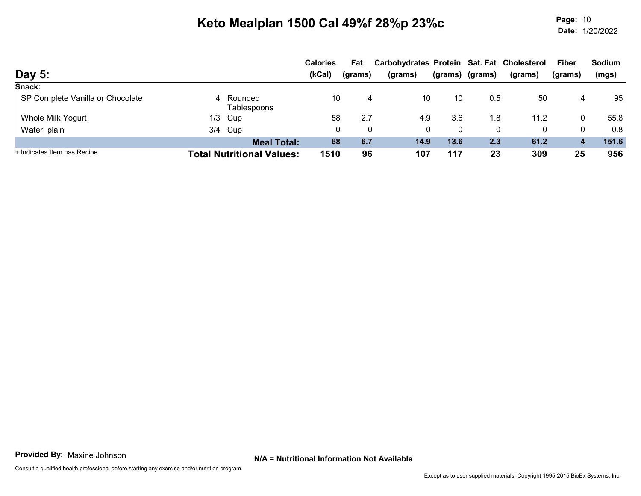Page: Date:Page: 10<br>Date: 1/20/2022

| <b>Day 5:</b>                    |                                  | <b>Calories</b><br>(kCal) | Fat<br>(grams) | Carbohydrates Protein Sat. Fat Cholesterol<br>(grams) | (grams) | (grams) | (grams) | <b>Fiber</b><br>(grams) | <b>Sodium</b><br>(mgs) |
|----------------------------------|----------------------------------|---------------------------|----------------|-------------------------------------------------------|---------|---------|---------|-------------------------|------------------------|
| Snack:                           |                                  |                           |                |                                                       |         |         |         |                         |                        |
| SP Complete Vanilla or Chocolate | 4 Rounded<br>Tablespoons         | 10                        | 4              | 10                                                    | 10      | 0.5     | 50      | 4                       | 95                     |
| Whole Milk Yogurt                | $1/3$ Cup                        | 58                        | 2.7            | 4.9                                                   | 3.6     | .8      | 11.2    | 0                       | 55.8                   |
| Water, plain                     | 3/4 Cup                          |                           | 0<br>0         | 0                                                     | 0       | 0       | 0       | 0                       | 0.8                    |
|                                  | <b>Meal Total:</b>               | 68                        | 6.7            | 14.9                                                  | 13.6    | 2.3     | 61.2    | 4                       | 151.6                  |
| + Indicates Item has Recipe      | <b>Total Nutritional Values:</b> | 1510                      | 96             | 107                                                   | 117     | 23      | 309     | 25                      | 956                    |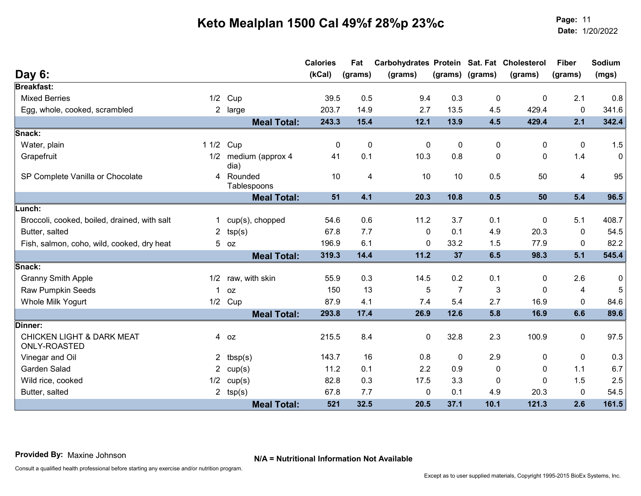Page: Date:Page: 11<br>Date: 1/20/2022

|                                                      |                |                                | <b>Calories</b><br>(kCal) | Fat         | Carbohydrates Protein Sat. Fat Cholesterol |                |                 |              | <b>Fiber</b> | Sodium |
|------------------------------------------------------|----------------|--------------------------------|---------------------------|-------------|--------------------------------------------|----------------|-----------------|--------------|--------------|--------|
| Day 6:                                               |                |                                |                           | (grams)     | (grams)                                    |                | (grams) (grams) | (grams)      | (grams)      | (mgs)  |
| <b>Breakfast:</b>                                    |                |                                |                           |             |                                            |                |                 |              |              |        |
| <b>Mixed Berries</b>                                 | 1/2            | Cup                            | 39.5                      | 0.5         | 9.4                                        | 0.3            | $\mathbf 0$     | $\mathbf{0}$ | 2.1          | 0.8    |
| Egg, whole, cooked, scrambled                        |                | 2 large                        | 203.7                     | 14.9        | 2.7                                        | 13.5           | 4.5             | 429.4        | $\mathbf 0$  | 341.6  |
|                                                      |                | <b>Meal Total:</b>             | 243.3                     | 15.4        | 12.1                                       | 13.9           | 4.5             | 429.4        | 2.1          | 342.4  |
| Snack:                                               |                |                                |                           |             |                                            |                |                 |              |              |        |
| Water, plain                                         |                | 1 1/2 Cup                      | 0                         | $\mathbf 0$ | 0                                          | $\pmb{0}$      | 0               | 0            | 0            | 1.5    |
| Grapefruit                                           | 1/2            | medium (approx 4               | 41                        | 0.1         | 10.3                                       | 0.8            | $\mathbf{0}$    | $\Omega$     | 1.4          | 0      |
| SP Complete Vanilla or Chocolate                     | 4              | dia)<br>Rounded<br>Tablespoons | 10                        | 4           | 10                                         | 10             | 0.5             | 50           | 4            | 95     |
|                                                      |                | <b>Meal Total:</b>             | 51                        | 4.1         | 20.3                                       | 10.8           | 0.5             | 50           | 5.4          | 96.5   |
| Lunch:                                               |                |                                |                           |             |                                            |                |                 |              |              |        |
| Broccoli, cooked, boiled, drained, with salt         |                | cup(s), chopped                | 54.6                      | 0.6         | 11.2                                       | 3.7            | 0.1             | 0            | 5.1          | 408.7  |
| Butter, salted                                       | $\overline{2}$ | tsp(s)                         | 67.8                      | 7.7         | $\Omega$                                   | 0.1            | 4.9             | 20.3         | 0            | 54.5   |
| Fish, salmon, coho, wild, cooked, dry heat           |                | $5$ $oz$                       | 196.9                     | 6.1         | 0                                          | 33.2           | 1.5             | 77.9         | $\mathbf{0}$ | 82.2   |
|                                                      |                | <b>Meal Total:</b>             | 319.3                     | 14.4        | 11.2                                       | 37             | 6.5             | 98.3         | 5.1          | 545.4  |
| Snack:                                               |                |                                |                           |             |                                            |                |                 |              |              |        |
| <b>Granny Smith Apple</b>                            | 1/2            | raw, with skin                 | 55.9                      | 0.3         | 14.5                                       | 0.2            | 0.1             | $\mathbf{0}$ | 2.6          | 0      |
| <b>Raw Pumpkin Seeds</b>                             |                | 0Z                             | 150                       | 13          | 5                                          | $\overline{7}$ | 3               | $\mathbf{0}$ | 4            | 5      |
| Whole Milk Yogurt                                    |                | $1/2$ Cup                      | 87.9                      | 4.1         | 7.4                                        | 5.4            | 2.7             | 16.9         | $\mathbf{0}$ | 84.6   |
|                                                      |                | <b>Meal Total:</b>             | 293.8                     | 17.4        | 26.9                                       | 12.6           | 5.8             | 16.9         | 6.6          | 89.6   |
| Dinner:                                              |                |                                |                           |             |                                            |                |                 |              |              |        |
| <b>CHICKEN LIGHT &amp; DARK MEAT</b><br>ONLY-ROASTED |                | 4 oz                           | 215.5                     | 8.4         | 0                                          | 32.8           | 2.3             | 100.9        | $\mathbf 0$  | 97.5   |
| Vinegar and Oil                                      |                | 2 $tbsp(s)$                    | 143.7                     | 16          | 0.8                                        | 0              | 2.9             | 0            | 0            | 0.3    |
| <b>Garden Salad</b>                                  |                | 2 $cup(s)$                     | 11.2                      | 0.1         | 2.2                                        | 0.9            | 0               | $\mathbf{0}$ | 1.1          | 6.7    |
| Wild rice, cooked                                    | 1/2            | cup(s)                         | 82.8                      | 0.3         | 17.5                                       | 3.3            | 0               | $\Omega$     | 1.5          | 2.5    |
| Butter, salted                                       |                | 2 $tsp(s)$                     | 67.8                      | 7.7         | 0                                          | 0.1            | 4.9             | 20.3         | $\mathbf 0$  | 54.5   |
|                                                      |                | <b>Meal Total:</b>             | 521                       | 32.5        | 20.5                                       | 37.1           | 10.1            | 121.3        | 2.6          | 161.5  |

N/A = Nutritional Information Not Available Provided By: Maxine Johnson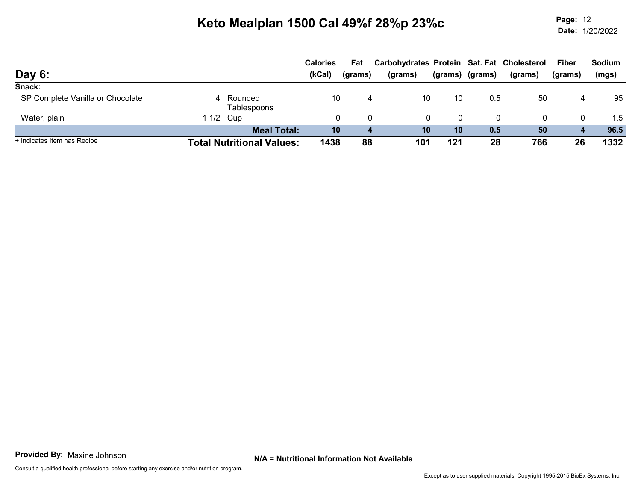Page: Date:Page: 12<br>Date: 1/20/2022

|                                  |                                  | <b>Calories</b> | Fat     | Carbohydrates Protein Sat. Fat Cholesterol |         |         |         | <b>Fiber</b>     | <b>Sodium</b> |
|----------------------------------|----------------------------------|-----------------|---------|--------------------------------------------|---------|---------|---------|------------------|---------------|
| Day 6:                           |                                  | (kCal)          | (grams) | (grams)                                    | (grams) | (grams) | (grams) | (grams)          | (mgs)         |
| Snack:                           |                                  |                 |         |                                            |         |         |         |                  |               |
| SP Complete Vanilla or Chocolate | 4 Rounded<br>Tablespoons         | 10              |         | 10                                         | 10      | 0.5     | 50      | 4                | 95            |
| Water, plain                     | 1 1/2 Cup                        | 0               | 0       |                                            |         | 0       |         | $\Omega$         | 1.5           |
|                                  | <b>Meal Total:</b>               | 10              | 4       | 10                                         | 10      | 0.5     | 50      | $\boldsymbol{4}$ | 96.5          |
| + Indicates Item has Recipe      | <b>Total Nutritional Values:</b> | 1438            | 88      | 101                                        | 121     | 28      | 766     | 26               | 1332          |

N/A = Nutritional Information Not Available Provided By: Maxine Johnson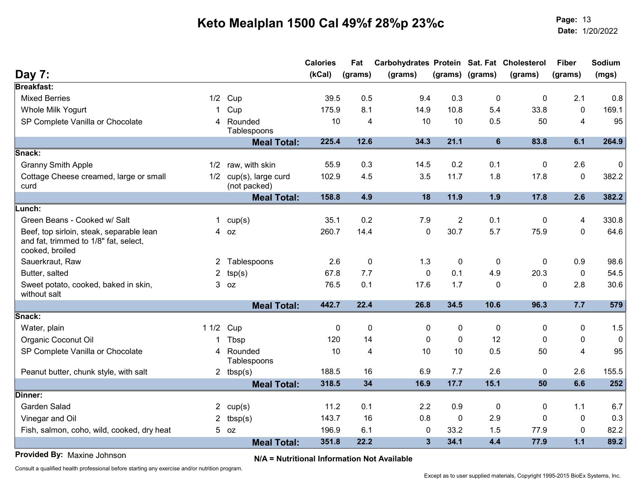Page: Date:Page: 13<br>Date: 1/20/2022

| Day 7:<br>(kCal)<br>(grams)<br>(grams) (grams)<br>(grams)<br>(grams)<br>(grams)<br><b>Breakfast:</b><br><b>Mixed Berries</b><br>Cup<br>39.5<br>0.5<br>9.4<br>0.3<br>$\pmb{0}$<br>0<br>2.1<br>1/2<br>8.1<br>14.9<br>10.8<br>33.8<br>Whole Milk Yogurt<br>175.9<br>5.4<br>0<br>Cup<br>1.<br>SP Complete Vanilla or Chocolate<br>4 Rounded<br>10<br>10<br>0.5<br>10<br>4<br>50<br>$\overline{4}$<br>Tablespoons<br>225.4<br>12.6<br>34.3<br>21.1<br>6<br>83.8<br>6.1<br><b>Meal Total:</b><br>Snack:<br><b>Granny Smith Apple</b><br>0.3<br>14.5<br>0.2<br>0.1<br>1/2 raw, with skin<br>55.9<br>2.6<br>0<br>3.5<br>Cottage Cheese creamed, large or small<br>cup(s), large curd<br>102.9<br>4.5<br>11.7<br>1.8<br>17.8<br>$\mathbf 0$<br>1/2<br>curd<br>(not packed)<br>4.9<br>18<br>11.9<br>1.9<br>17.8<br>2.6<br><b>Meal Total:</b><br>158.8<br>Lunch:<br>0.2<br>$\overline{2}$<br>Green Beans - Cooked w/ Salt<br>35.1<br>7.9<br>0.1<br>0<br>4<br>1 $cup(s)$<br>$\mathbf 0$<br>30.7<br>5.7<br>75.9<br>260.7<br>14.4<br>$\mathbf{0}$<br>Beef, top sirloin, steak, separable lean<br>4 oz<br>and fat, trimmed to 1/8" fat, select,<br>cooked, broiled<br>$\mathbf 0$<br>1.3<br>$\mathbf 0$<br>$\mathbf 0$<br>0.9<br>2.6<br>0<br>Sauerkraut, Raw<br>2 <sup>1</sup><br>Tablespoons<br>7.7<br>67.8<br>$\mathbf 0$<br>0.1<br>4.9<br>20.3<br>$\mathbf 0$<br>Butter, salted<br>$\overline{2}$<br>tsp(s)<br>76.5<br>0.1<br>17.6<br>1.7<br>0<br>2.8<br>Sweet potato, cooked, baked in skin,<br>$3$ $oz$<br>$\Omega$<br>without salt<br>442.7<br>26.8<br>34.5<br>96.3<br>7.7<br>22.4<br>10.6<br><b>Meal Total:</b> | (mgs)<br>0.8<br>169.1<br>95<br>264.9<br>0<br>382.2<br>382.2 |
|---------------------------------------------------------------------------------------------------------------------------------------------------------------------------------------------------------------------------------------------------------------------------------------------------------------------------------------------------------------------------------------------------------------------------------------------------------------------------------------------------------------------------------------------------------------------------------------------------------------------------------------------------------------------------------------------------------------------------------------------------------------------------------------------------------------------------------------------------------------------------------------------------------------------------------------------------------------------------------------------------------------------------------------------------------------------------------------------------------------------------------------------------------------------------------------------------------------------------------------------------------------------------------------------------------------------------------------------------------------------------------------------------------------------------------------------------------------------------------------------------------------------------------------------------------------------------------------------------------|-------------------------------------------------------------|
|                                                                                                                                                                                                                                                                                                                                                                                                                                                                                                                                                                                                                                                                                                                                                                                                                                                                                                                                                                                                                                                                                                                                                                                                                                                                                                                                                                                                                                                                                                                                                                                                         |                                                             |
|                                                                                                                                                                                                                                                                                                                                                                                                                                                                                                                                                                                                                                                                                                                                                                                                                                                                                                                                                                                                                                                                                                                                                                                                                                                                                                                                                                                                                                                                                                                                                                                                         |                                                             |
|                                                                                                                                                                                                                                                                                                                                                                                                                                                                                                                                                                                                                                                                                                                                                                                                                                                                                                                                                                                                                                                                                                                                                                                                                                                                                                                                                                                                                                                                                                                                                                                                         |                                                             |
|                                                                                                                                                                                                                                                                                                                                                                                                                                                                                                                                                                                                                                                                                                                                                                                                                                                                                                                                                                                                                                                                                                                                                                                                                                                                                                                                                                                                                                                                                                                                                                                                         |                                                             |
|                                                                                                                                                                                                                                                                                                                                                                                                                                                                                                                                                                                                                                                                                                                                                                                                                                                                                                                                                                                                                                                                                                                                                                                                                                                                                                                                                                                                                                                                                                                                                                                                         |                                                             |
|                                                                                                                                                                                                                                                                                                                                                                                                                                                                                                                                                                                                                                                                                                                                                                                                                                                                                                                                                                                                                                                                                                                                                                                                                                                                                                                                                                                                                                                                                                                                                                                                         |                                                             |
|                                                                                                                                                                                                                                                                                                                                                                                                                                                                                                                                                                                                                                                                                                                                                                                                                                                                                                                                                                                                                                                                                                                                                                                                                                                                                                                                                                                                                                                                                                                                                                                                         |                                                             |
|                                                                                                                                                                                                                                                                                                                                                                                                                                                                                                                                                                                                                                                                                                                                                                                                                                                                                                                                                                                                                                                                                                                                                                                                                                                                                                                                                                                                                                                                                                                                                                                                         |                                                             |
|                                                                                                                                                                                                                                                                                                                                                                                                                                                                                                                                                                                                                                                                                                                                                                                                                                                                                                                                                                                                                                                                                                                                                                                                                                                                                                                                                                                                                                                                                                                                                                                                         |                                                             |
|                                                                                                                                                                                                                                                                                                                                                                                                                                                                                                                                                                                                                                                                                                                                                                                                                                                                                                                                                                                                                                                                                                                                                                                                                                                                                                                                                                                                                                                                                                                                                                                                         |                                                             |
|                                                                                                                                                                                                                                                                                                                                                                                                                                                                                                                                                                                                                                                                                                                                                                                                                                                                                                                                                                                                                                                                                                                                                                                                                                                                                                                                                                                                                                                                                                                                                                                                         | 330.8                                                       |
|                                                                                                                                                                                                                                                                                                                                                                                                                                                                                                                                                                                                                                                                                                                                                                                                                                                                                                                                                                                                                                                                                                                                                                                                                                                                                                                                                                                                                                                                                                                                                                                                         | 64.6                                                        |
|                                                                                                                                                                                                                                                                                                                                                                                                                                                                                                                                                                                                                                                                                                                                                                                                                                                                                                                                                                                                                                                                                                                                                                                                                                                                                                                                                                                                                                                                                                                                                                                                         | 98.6                                                        |
|                                                                                                                                                                                                                                                                                                                                                                                                                                                                                                                                                                                                                                                                                                                                                                                                                                                                                                                                                                                                                                                                                                                                                                                                                                                                                                                                                                                                                                                                                                                                                                                                         | 54.5                                                        |
|                                                                                                                                                                                                                                                                                                                                                                                                                                                                                                                                                                                                                                                                                                                                                                                                                                                                                                                                                                                                                                                                                                                                                                                                                                                                                                                                                                                                                                                                                                                                                                                                         | 30.6                                                        |
|                                                                                                                                                                                                                                                                                                                                                                                                                                                                                                                                                                                                                                                                                                                                                                                                                                                                                                                                                                                                                                                                                                                                                                                                                                                                                                                                                                                                                                                                                                                                                                                                         | 579                                                         |
| Snack:                                                                                                                                                                                                                                                                                                                                                                                                                                                                                                                                                                                                                                                                                                                                                                                                                                                                                                                                                                                                                                                                                                                                                                                                                                                                                                                                                                                                                                                                                                                                                                                                  |                                                             |
| $\Omega$<br>$\mathbf{0}$<br>$\mathbf{0}$<br>$\mathbf{0}$<br>1 1/2 Cup<br>$\Omega$<br>0<br>$\Omega$<br>Water, plain                                                                                                                                                                                                                                                                                                                                                                                                                                                                                                                                                                                                                                                                                                                                                                                                                                                                                                                                                                                                                                                                                                                                                                                                                                                                                                                                                                                                                                                                                      | 1.5                                                         |
| Organic Coconut Oil<br>12<br>Tbsp<br>14<br>$\Omega$<br>0<br>$\Omega$<br>0<br>120<br>1.                                                                                                                                                                                                                                                                                                                                                                                                                                                                                                                                                                                                                                                                                                                                                                                                                                                                                                                                                                                                                                                                                                                                                                                                                                                                                                                                                                                                                                                                                                                  | $\mathbf 0$                                                 |
| SP Complete Vanilla or Chocolate<br>10<br>10<br>10<br>0.5<br>$\overline{4}$<br>Rounded<br>4<br>50<br>4<br>Tablespoons                                                                                                                                                                                                                                                                                                                                                                                                                                                                                                                                                                                                                                                                                                                                                                                                                                                                                                                                                                                                                                                                                                                                                                                                                                                                                                                                                                                                                                                                                   | 95                                                          |
| 2.6<br>188.5<br>6.9<br>7.7<br>$\Omega$<br>2.6<br>Peanut butter, chunk style, with salt<br>2 $tbsp(s)$<br>16                                                                                                                                                                                                                                                                                                                                                                                                                                                                                                                                                                                                                                                                                                                                                                                                                                                                                                                                                                                                                                                                                                                                                                                                                                                                                                                                                                                                                                                                                             | 155.5                                                       |
| 318.5<br>34<br>16.9<br>17.7<br>15.1<br>6.6<br>50<br><b>Meal Total:</b>                                                                                                                                                                                                                                                                                                                                                                                                                                                                                                                                                                                                                                                                                                                                                                                                                                                                                                                                                                                                                                                                                                                                                                                                                                                                                                                                                                                                                                                                                                                                  | 252                                                         |
| Dinner:                                                                                                                                                                                                                                                                                                                                                                                                                                                                                                                                                                                                                                                                                                                                                                                                                                                                                                                                                                                                                                                                                                                                                                                                                                                                                                                                                                                                                                                                                                                                                                                                 |                                                             |
| <b>Garden Salad</b><br>11.2<br>0.1<br>2.2<br>0.9<br>$\mathbf 0$<br>1.1<br>0<br>$2^{\circ}$<br>cup(s)                                                                                                                                                                                                                                                                                                                                                                                                                                                                                                                                                                                                                                                                                                                                                                                                                                                                                                                                                                                                                                                                                                                                                                                                                                                                                                                                                                                                                                                                                                    | 6.7                                                         |
| 0.8<br>Vinegar and Oil<br>tbsp(s)<br>143.7<br>16<br>$\mathbf 0$<br>2.9<br>$\mathbf{2}$<br>$\Omega$<br>0                                                                                                                                                                                                                                                                                                                                                                                                                                                                                                                                                                                                                                                                                                                                                                                                                                                                                                                                                                                                                                                                                                                                                                                                                                                                                                                                                                                                                                                                                                 | 0.3                                                         |
| 196.9<br>33.2<br>1.5<br>77.9<br>6.1<br>$\pmb{0}$<br>$\mathbf{0}$<br>Fish, salmon, coho, wild, cooked, dry heat<br>$5$ $oz$                                                                                                                                                                                                                                                                                                                                                                                                                                                                                                                                                                                                                                                                                                                                                                                                                                                                                                                                                                                                                                                                                                                                                                                                                                                                                                                                                                                                                                                                              | 82.2                                                        |
| 22.2<br>34.1<br>4.4<br>77.9<br>$1.1$<br>351.8<br>$\mathbf{3}$<br><b>Meal Total:</b>                                                                                                                                                                                                                                                                                                                                                                                                                                                                                                                                                                                                                                                                                                                                                                                                                                                                                                                                                                                                                                                                                                                                                                                                                                                                                                                                                                                                                                                                                                                     | 89.2                                                        |

N/A = Nutritional Information Not Available Provided By: Maxine Johnson